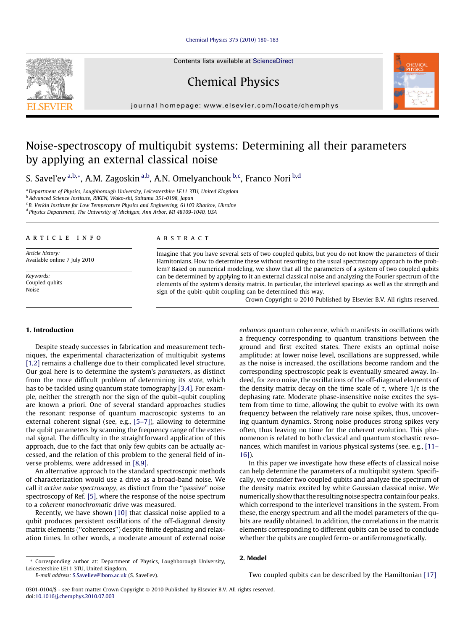## [Chemical Physics 375 \(2010\) 180–183](http://dx.doi.org/10.1016/j.chemphys.2010.07.003)

Contents lists available at [ScienceDirect](http://www.sciencedirect.com/science/journal/03010104)

Chemical Physics



# Noise-spectroscopy of multiqubit systems: Determining all their parameters by applying an external classical noise

S. Savel'ev<sup>a,b,</sup>\*, A.M. Zagoskin<sup>a,b</sup>, A.N. Omelyanchouk <sup>b,c</sup>, Franco Nori <sup>b,d</sup>

<sup>a</sup>Department of Physics, Loughborough University, Leicestershire LE11 3TU, United Kingdom

<sup>b</sup> Advanced Science Institute, RIKEN, Wako-shi, Saitama 351-0198, Japan

 $c$  B. Verkin Institute for Low Temperature Physics and Engineering, 61103 Kharkov, Ukraine

<sup>d</sup> Physics Department, The University of Michigan, Ann Arbor, MI 48109-1040, USA

#### article info

Article history: Available online 7 July 2010

Keywords: Coupled qubits Noise

#### **ABSTRACT**

Imagine that you have several sets of two coupled qubits, but you do not know the parameters of their Hamitonians. How to determine these without resorting to the usual spectroscopy approach to the problem? Based on numerical modeling, we show that all the parameters of a system of two coupled qubits can be determined by applying to it an external classical noise and analyzing the Fourier spectrum of the elements of the system's density matrix. In particular, the interlevel spacings as well as the strength and sign of the qubit–qubit coupling can be determined this way.

Crown Copyright © 2010 Published by Elsevier B.V. All rights reserved.

enhances quantum coherence, which manifests in oscillations with a frequency corresponding to quantum transitions between the ground and first excited states. There exists an optimal noise amplitude: at lower noise level, oscillations are suppressed, while as the noise is increased, the oscillations become random and the corresponding spectroscopic peak is eventually smeared away. Indeed, for zero noise, the oscillations of the off-diagonal elements of the density matrix decay on the time scale of  $\tau$ , where  $1/\tau$  is the dephasing rate. Moderate phase-insensitive noise excites the system from time to time, allowing the qubit to evolve with its own frequency between the relatively rare noise spikes, thus, uncovering quantum dynamics. Strong noise produces strong spikes very often, thus leaving no time for the coherent evolution. This phenomenon is related to both classical and quantum stochastic resonances, which manifest in various physical systems (see, e.g., [\[11–](#page-3-0)

# 1. Introduction

Despite steady successes in fabrication and measurement techniques, the experimental characterization of multiqubit systems [\[1,2\]](#page-3-0) remains a challenge due to their complicated level structure. Our goal here is to determine the system's parameters, as distinct from the more difficult problem of determining its state, which has to be tackled using quantum state tomography [\[3,4\].](#page-3-0) For example, neither the strength nor the sign of the qubit–qubit coupling are known a priori. One of several standard approaches studies the resonant response of quantum macroscopic systems to an external coherent signal (see, e.g., [\[5–7\]\)](#page-3-0), allowing to determine the qubit parameters by scanning the frequency range of the external signal. The difficulty in the straightforward application of this approach, due to the fact that only few qubits can be actually accessed, and the relation of this problem to the general field of inverse problems, were addressed in [\[8,9\].](#page-3-0)

An alternative approach to the standard spectroscopic methods of characterization would use a drive as a broad-band noise. We call it active noise spectroscopy, as distinct from the ''passive" noise spectroscopy of Ref. [\[5\],](#page-3-0) where the response of the noise spectrum to a coherent monochromatic drive was measured.

Recently, we have shown [\[10\]](#page-3-0) that classical noise applied to a qubit produces persistent oscillations of the off-diagonal density matrix elements (''coherences") despite finite dephasing and relaxation times. In other words, a moderate amount of external noise

E-mail address: [S.Saveliev@lboro.ac.uk](mailto:S.Saveliev@lboro.ac.uk) (S. Savel'ev).

these, the energy spectrum and all the model parameters of the qubits are readily obtained. In addition, the correlations in the matrix elements corresponding to different qubits can be used to conclude whether the qubits are coupled ferro- or antiferromagnetically.

In this paper we investigate how these effects of classical noise can help determine the parameters of a multiqubit system. Specifically, we consider two coupled qubits and analyze the spectrum of the density matrix excited by white Gaussian classical noise. We numerically show that the resulting noise spectra contain four peaks, which correspond to the interlevel transitions in the system. From

## 2. Model

[16\]](#page-3-0)).

Two coupled qubits can be described by the Hamiltonian [\[17\]](#page-3-0)





<sup>\*</sup> Corresponding author at: Department of Physics, Loughborough University, Leicestershire LE11 3TU, United Kingdom.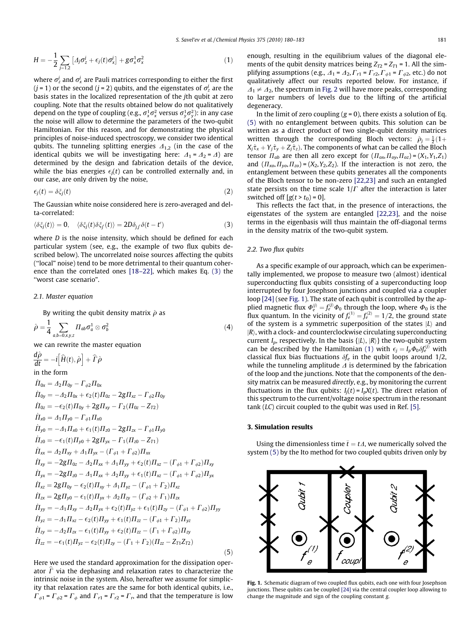<span id="page-1-0"></span>
$$
H = -\frac{1}{2} \sum_{j=1,2} \left[ \Delta_j \sigma_z^j + \epsilon_j(t) \sigma_x^j \right] + g \sigma_x^1 \sigma_x^2 \tag{1}
$$

where  $\sigma_{\rm z}^j$  and  $\sigma_{\rm x}^j$  are Pauli matrices corresponding to either the first (j = 1) or the second (j = 2) qubits, and the eigenstates of  $\sigma_z^j$  are the basis states in the localized representation of the jth qubit at zero coupling. Note that the results obtained below do not qualitatively depend on the type of coupling (e.g.,  $\sigma_x^1\sigma_x^2$  versus  $\sigma_y^1\sigma_y^2$ ): in any case the noise will allow to determine the parameters of the two-qubit Hamiltonian. For this reason, and for demonstrating the physical principles of noise-induced spectroscopy, we consider two identical qubits. The tunneling splitting energies  $\Lambda_{1,2}$  (in the case of the identical qubits we will be investigating here:  $\Delta_1 = \Delta_2 = \Delta$ ) are determined by the design and fabrication details of the device, while the bias energies  $\epsilon_j(t)$  can be controlled externally and, in our case, are only driven by the noise,

$$
\epsilon_j(t) = \delta \xi_j(t) \tag{2}
$$

The Gaussian white noise considered here is zero-averaged and delta-correlated:

$$
\langle \delta \xi_j(t) \rangle = 0, \quad \langle \delta \xi_j(t) \delta \xi_{j'}(t) \rangle = 2D \delta_{jj} \delta(t - t')
$$
 (3)

where *D* is the noise intensity, which should be defined for each particular system (see, e.g., the example of two flux qubits described below). The uncorrelated noise sources affecting the qubits (''local" noise) tend to be more detrimental to their quantum coherence than the correlated ones [\[18–22\]](#page-3-0), which makes Eq. (3) the ''worst case scenario".

#### 2.1. Master equation

By writing the qubit density matrix  $\hat{\rho}$  as

$$
\hat{\rho} = \frac{1}{4} \sum_{a,b=0,x,y,z} \Pi_{ab} \sigma_a^1 \otimes \sigma_b^2 \tag{4}
$$

we can rewrite the master equation

$$
\frac{d\hat{\rho}}{dt} = -i[\hat{H}(t), \hat{\rho}] + \hat{\Gamma}\hat{\rho} \nin the form \n\dot{H}_{0x} = A_2\Pi_{0y} - \Gamma_{\phi 2}\Pi_{0x} \n\dot{H}_{0y} = -A_2\Pi_{0x} + \epsilon_2(t)\Pi_{0z} - 2g\Pi_{xz} - \Gamma_{\phi 2}\Pi_{0y} \n\dot{H}_{0z} = -\epsilon_2(t)\Pi_{0y} + 2g\Pi_{xy} - \Gamma_2(\Pi_{0z} - Z_{T2}) \n\dot{H}_{x0} = A_1\Pi_{y0} - \Gamma_{\phi 1}\Pi_{x0} \n\dot{H}_{y0} = -A_1\Pi_{x0} + \epsilon_1(t)\Pi_{z0} - 2g\Pi_{zx} - \Gamma_{\phi 1}\Pi_{y0} \n\dot{H}_{z0} = -\epsilon_1(t)\Pi_{y0} + 2g\Pi_{yx} - \Gamma_1(\Pi_{z0} - Z_{T1}) \n\dot{H}_{xx} = A_2\Pi_{xy} + A_1\Pi_{yx} - (\Gamma_{\phi 1} + \Gamma_{\phi 2})\Pi_{xx} \n\dot{H}_{xy} = -2g\Pi_{0z} - A_2\Pi_{xx} + A_1\Pi_{yy} + \epsilon_2(t)\Pi_{xz} - (\Gamma_{\phi 1} + \Gamma_{\phi 2})\Pi_{xy} \n\dot{H}_{yx} = -2g\Pi_{z0} - A_1\Pi_{xx} + A_2\Pi_{yy} + \epsilon_1(t)\Pi_{xz} - (\Gamma_{\phi 1} + \Gamma_{\phi 2})\Pi_{yx} \n\dot{H}_{xz} = 2g\Pi_{y0} - \epsilon_2(t)\Pi_{xy} + A_1\Pi_{yz} - (\Gamma_{\phi 1} + \Gamma_2)\Pi_{zz} \n\dot{H}_{zx} = 2g\Pi_{y0} - \epsilon_1(t)\Pi_{yx} + A_2\Pi_{zy} - (\Gamma_{\phi 2} + \Gamma_1)\Pi_{zx} \n\dot{H}_{yy} = -A_1\Pi_{xz} - A_2\Pi_{yx} + \epsilon_2(t)\Pi_{yz} + \epsilon_1(t)\Pi_{zy} - (\Gamma_{\phi 1} + \Gamma_{\phi 2})\Pi_{yy} \n\dot{H}_{yz} = -A_1\Pi_{xz} - \epsilon_2(t)\Pi_{yy} + \
$$

Here we used the standard approximation for the dissipation operator  $\hat{\Gamma}$  via the dephasing and relaxation rates to characterize the intrinsic noise in the system. Also, hereafter we assume for simplicity that relaxation rates are the same for both identical qubits, i.e.,  $\Gamma_{\phi 1}$  =  $\Gamma_{\phi 2}$  =  $\Gamma_{\phi}$  and  $\Gamma_{r1}$  =  $\Gamma_{r2}$  =  $\Gamma_{r}$ , and that the temperature is low enough, resulting in the equilibrium values of the diagonal elements of the qubit density matrices being  $Z_{T2} = Z_{T1} = 1$ . All the simplifying assumptions (e.g.,  $\Delta_1 = \Delta_2$ ,  $\Gamma_{r1} = \Gamma_{r2}$ ,  $\Gamma_{\phi 1} = \Gamma_{\phi 2}$ , etc.) do not qualitatively affect our results reported below. For instance, if  $\Delta_1 \neq \Delta_2$ , the spectrum in [Fig. 2](#page-2-0) will have more peaks, corresponding to larger numbers of levels due to the lifting of the artificial degeneracy.

In the limit of zero coupling  $(g = 0)$ , there exists a solution of Eq. (5) with no entanglement between qubits. This solution can be written as a direct product of two single-qubit density matrices written through the corresponding Bloch vectors:  $\hat{\rho}_j = \frac{1}{2}(1 +$  $X_j \hat{\tau}_x + Y_j \hat{\tau}_y + Z_j \hat{\tau}_z$ ). The components of what can be called the Bloch tensor  $\Pi_{ab}$  are then all zero except for  $(\Pi_{ox},\Pi_{oy},\Pi_{oz})=(X_1,Y_1,Z_1)$ and  $(\Pi_{xo}, \Pi_{yo}, \Pi_{zo}) = (X_2, Y_2, Z_2)$ . If the interaction is not zero, the entanglement between these qubits generates all the components of the Bloch tensor to be non-zero [\[22,23\]](#page-3-0) and such an entangled state persists on the time scale  $1/\Gamma$  after the interaction is later switched off  $[g(t > t_0) = 0]$ .

This reflects the fact that, in the presence of interactions, the eigenstates of the system are entangled [\[22,23\],](#page-3-0) and the noise terms in the eigenbasis will thus maintain the off-diagonal terms in the density matrix of the two-qubit system.

## 2.2. Two flux qubits

As a specific example of our approach, which can be experimentally implemented, we propose to measure two (almost) identical superconducting flux qubits consisting of a superconducting loop interrupted by four Josephson junctions and coupled via a coupler loop [\[24\]](#page-3-0) (see Fig. 1). The state of each qubit is controlled by the applied magnetic flux  $\Phi_e^{(j)} = f_e^{(j)} \Phi_0$  through the loop, where  $\Phi_0$  is the flux quantum. In the vicinity of  $f_e^{(1)} = f_e^{(2)} = 1/2$ , the ground state of the system is a symmetric superposition of the states  $|L\rangle$  and  $|R\rangle$ , with a clock- and counterclockwise circulating superconducting current  $I_n$ , respectively. In the basis  $\{|L\rangle, |R\rangle\}$  the two-qubit system can be described by the Hamiltonian (1) with  $\epsilon_j = I_p \Phi_0 \delta f_e^{(j)}$  with classical flux bias fluctuations  $\delta f_e$  in the qubit loops around 1/2, while the tunneling amplitude  $\Delta$  is determined by the fabrication of the loop and the junctions. Note that the components of the density matrix can be measured *directly*, e.g., by monitoring the current fluctuations in the flux qubits:  $I_i(t) = I_p X(t)$ . The direct relation of this spectrum to the current/voltage noise spectrum in the resonant tank  $(LC)$  circuit coupled to the qubit was used in Ref. [\[5\].](#page-3-0)

#### 3. Simulation results

 $(5)$ 

Using the dimensionless time  $\bar{t} = t \Delta$ , we numerically solved the system (5) by the Ito method for two coupled qubits driven only by



Fig. 1. Schematic diagram of two coupled flux qubits, each one with four Josephson junctions. These qubits can be coupled [\[24\]](#page-3-0) via the central coupler loop allowing to change the magnitude and sign of the coupling constant g.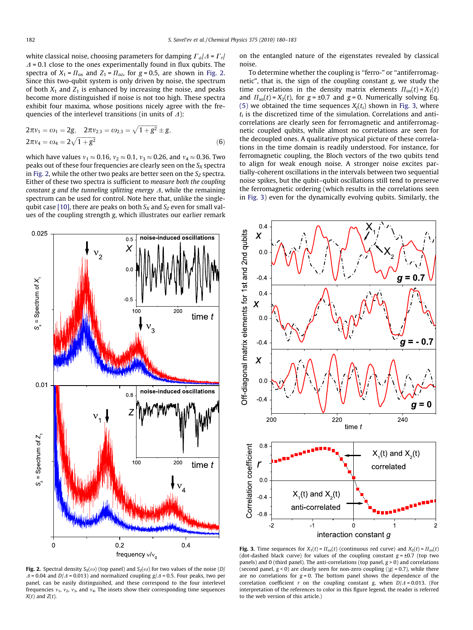<span id="page-2-0"></span>white classical noise, choosing parameters for damping  $\Gamma_{\phi}/\Delta = \Gamma_r/2$  $\Delta$  = 0.1 close to the ones experimentally found in flux qubits. The spectra of  $X_1 = \prod_{\alpha x}$  and  $Z_1 = \prod_{\alpha z}$ , for  $g = 0.5$ , are shown in Fig. 2. Since this two-qubit system is only driven by noise, the spectrum of both  $X_1$  and  $Z_1$  is enhanced by increasing the noise, and peaks become more distinguished if noise is not too high. These spectra exhibit four maxima, whose positions nicely agree with the frequencies of the interlevel transitions (in units of  $\Delta$ ):

$$
2\pi v_1 = \omega_1 = 2g, \quad 2\pi v_{2,3} = \omega_{2,3} = \sqrt{1 + g^2} \pm g,
$$
  

$$
2\pi v_4 = \omega_4 = 2\sqrt{1 + g^2}
$$
 (6)

which have values  $v_1 \approx 0.16$ ,  $v_2 \approx 0.1$ ,  $v_3 \approx 0.26$ , and  $v_4 \approx 0.36$ . Two peaks out of these four frequencies are clearly seen on the  $S_X$  spectra in Fig. 2, while the other two peaks are better seen on the  $S_z$  spectra. Either of these two spectra is sufficient to measure both the coupling constant g and the tunneling splitting energy  $\Delta$ , while the remaining spectrum can be used for control. Note here that, unlike the single-qubit case [\[10\],](#page-3-0) there are peaks on both  $S_x$  and  $S_z$  even for small values of the coupling strength g, which illustrates our earlier remark



**Fig. 2.** Spectral density  $S_x(\omega)$  (top panel) and  $S_x(\omega)$  for two values of the noise (D/  $\Delta$  = 0.04 and D/ $\Delta$  = 0.013) and normalized coupling g/ $\Delta$  = 0.5. Four peaks, two per panel, can be easily distinguished, and these correspond to the four interlevel frequencies  $v_1$ ,  $v_2$ ,  $v_3$ , and  $v_4$ . The insets show their corresponding time sequences  $X(t)$  and  $Z(t)$ .

on the entangled nature of the eigenstates revealed by classical noise.

To determine whether the coupling is ''ferro-" or ''antiferromagnetic", that is, the sign of the coupling constant g, we study the time correlations in the density matrix elements  $\Pi_{\text{ox}}(t) = X_1(t)$ and  $\Pi_{xo}(t) = X_2(t)$ , for  $g = \pm 0.7$  and  $g = 0$ . Numerically solving Eq. [\(5\)](#page-1-0) we obtained the time sequences  $X_i(t_i)$  shown in Fig. 3, where  $t_i$  is the discretized time of the simulation. Correlations and anticorrelations are clearly seen for ferromagnetic and antiferromagnetic coupled qubits, while almost no correlations are seen for the decoupled ones. A qualitative physical picture of these correlations in the time domain is readily understood. For instance, for ferromagnetic coupling, the Bloch vectors of the two qubits tend to align for weak enough noise. A stronger noise excites partially-coherent oscillations in the intervals between two sequential noise spikes, but the qubit–qubit oscillations still tend to preserve the ferromagnetic ordering (which results in the correlations seen in Fig. 3) even for the dynamically evolving qubits. Similarly, the



Fig. 3. Time sequences for  $X_1(t) = \prod_{\text{ox}}(t)$  (continuous red curve) and  $X_2(t) = \prod_{x \infty}(t)$ (dot-dashed black curve) for values of the coupling constant  $g = \pm 0.7$  (top two panels) and 0 (third panel). The anti-correlations (top panel,  $g > 0$ ) and correlations (second panel,  $g < 0$ ) are clearly seen for non-zero coupling ( $|g| = 0.7$ ), while there are no correlations for  $g = 0$ . The bottom panel shows the dependence of the correlation coefficient r on the coupling constant g, when  $D/\Delta = 0.013$ . (For interpretation of the references to color in this figure legend, the reader is referred to the web version of this article.)